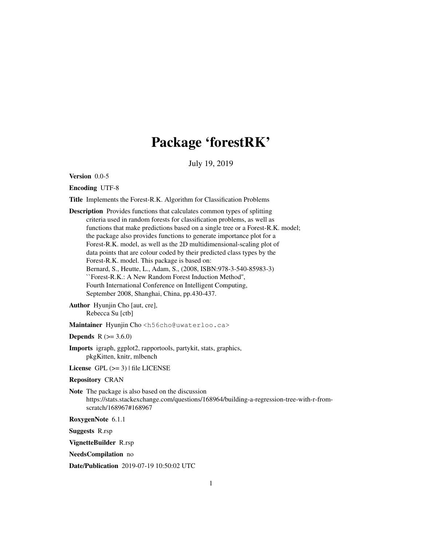# Package 'forestRK'

July 19, 2019

Version 0.0-5

Encoding UTF-8

Title Implements the Forest-R.K. Algorithm for Classification Problems

Description Provides functions that calculates common types of splitting criteria used in random forests for classification problems, as well as functions that make predictions based on a single tree or a Forest-R.K. model; the package also provides functions to generate importance plot for a Forest-R.K. model, as well as the 2D multidimensional-scaling plot of data points that are colour coded by their predicted class types by the Forest-R.K. model. This package is based on: Bernard, S., Heutte, L., Adam, S., (2008, ISBN:978-3-540-85983-3) ``Forest-R.K.: A New Random Forest Induction Method'', Fourth International Conference on Intelligent Computing, September 2008, Shanghai, China, pp.430-437.

Author Hyunjin Cho [aut, cre], Rebecca Su [ctb]

Maintainer Hyunjin Cho <h56cho@uwaterloo.ca>

**Depends** R  $(>= 3.6.0)$ 

Imports igraph, ggplot2, rapportools, partykit, stats, graphics, pkgKitten, knitr, mlbench

License GPL  $(>= 3)$  | file LICENSE

## Repository CRAN

Note The package is also based on the discussion https://stats.stackexchange.com/questions/168964/building-a-regression-tree-with-r-fromscratch/168967#168967

RoxygenNote 6.1.1

Suggests R.rsp

VignetteBuilder R.rsp

NeedsCompilation no

Date/Publication 2019-07-19 10:50:02 UTC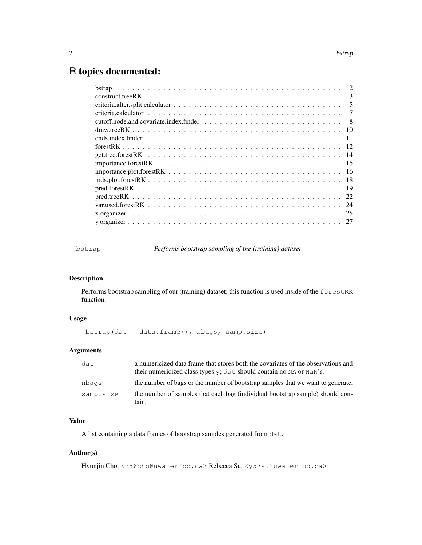# R topics documented:

| $\mathcal{L}$ |
|---------------|
| 3             |
| 5             |
| 7             |
| - 8           |
|               |
| - 11          |
|               |
|               |
|               |
|               |
|               |
|               |
|               |
|               |
|               |
|               |
|               |

bstrap *Performs bootstrap sampling of the (training) dataset*

# Description

Performs bootstrap sampling of our (training) dataset; this function is used inside of the forestRK function.

# Usage

bstrap(dat = data.frame(), nbags, samp.size)

# Arguments

| dat       | a numericized data frame that stores both the covariates of the observations and<br>their numericized class types $y$ ; dat should contain no NA or NaN's. |
|-----------|------------------------------------------------------------------------------------------------------------------------------------------------------------|
| nbags     | the number of bags or the number of bootstrap samples that we want to generate.                                                                            |
| samp.size | the number of samples that each bag (individual bootstrap sample) should con-<br>tain.                                                                     |

# Value

A list containing a data frames of bootstrap samples generated from dat.

# Author(s)

Hyunjin Cho, <h56cho@uwaterloo.ca> Rebecca Su, <y57su@uwaterloo.ca>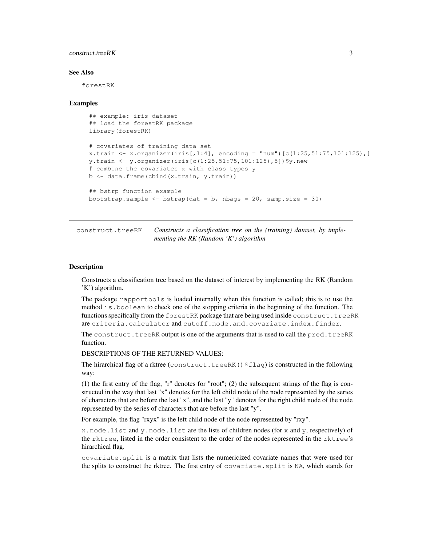# construct.treeRK 3

#### See Also

forestRK

#### Examples

```
## example: iris dataset
## load the forestRK package
library(forestRK)
# covariates of training data set
x.train <- x.organizer(iris[,1:4], encoding = "num")[c(1:25, 51:75, 101:125),]
y.train <- y.organizer(iris[c(1:25,51:75,101:125),5])$y.new
# combine the covariates x with class types y
b <- data.frame(cbind(x.train, y.train))
## bstrp function example
bootstrap.sample \leftarrow bstrap(dat = b, nbags = 20, samp.size = 30)
```
construct.treeRK *Constructs a classification tree on the (training) dataset, by implementing the RK (Random 'K') algorithm*

#### Description

Constructs a classification tree based on the dataset of interest by implementing the RK (Random 'K') algorithm.

The package rapportools is loaded internally when this function is called; this is to use the method is.boolean to check one of the stopping criteria in the beginning of the function. The functions specifically from the forestRK package that are being used inside construct.treeRK are criteria.calculator and cutoff.node.and.covariate.index.finder.

The construct.treeRK output is one of the arguments that is used to call the pred.treeRK function.

DESCRIPTIONS OF THE RETURNED VALUES:

The hirarchical flag of a rktree (construct.treeRK() $$flag$ ) is constructed in the following way:

(1) the first entry of the flag, "r" denotes for "root"; (2) the subsequent strings of the flag is constructed in the way that last "x" denotes for the left child node of the node represented by the series of characters that are before the last "x", and the last "y" denotes for the right child node of the node represented by the series of characters that are before the last "y".

For example, the flag "rxyx" is the left child node of the node represented by "rxy".

x.node.list and y.node.list are the lists of children nodes (for x and y, respectively) of the rktree, listed in the order consistent to the order of the nodes represented in the rktree's hirarchical flag.

covariate.split is a matrix that lists the numericized covariate names that were used for the splits to construct the rktree. The first entry of covariate.split is NA, which stands for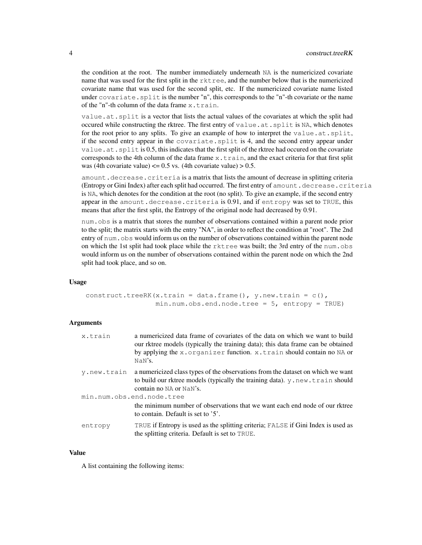the condition at the root. The number immediately underneath NA is the numericized covariate name that was used for the first split in the  $r$ ktree, and the number below that is the numericized covariate name that was used for the second split, etc. If the numericized covariate name listed under covariate. split is the number "n", this corresponds to the "n"-th covariate or the name of the "n"-th column of the data frame  $x$ .train.

value.at.split is a vector that lists the actual values of the covariates at which the split had occured while constructing the rktree. The first entry of value.at.split is NA, which denotes for the root prior to any splits. To give an example of how to interpret the value.at.split, if the second entry appear in the covariate.split is 4, and the second entry appear under value.at.split is 0.5, this indicates that the first split of the rktree had occured on the covariate corresponds to the 4th column of the data frame  $x$ .  $t$ rain, and the exact criteria for that first split was (4th covariate value)  $\leq$  0.5 vs. (4th covariate value) > 0.5.

amount.decrease.criteria is a matrix that lists the amount of decrease in splitting criteria (Entropy or Gini Index) after each split had occurred. The first entry of amount.decrease.criteria is NA, which denotes for the condition at the root (no split). To give an example, if the second entry appear in the amount.decrease.criteria is 0.91, and if entropy was set to TRUE, this means that after the first split, the Entropy of the original node had decreased by 0.91.

num.obs is a matrix that stores the number of observations contained within a parent node prior to the split; the matrix starts with the entry "NA", in order to reflect the condition at "root". The 2nd entry of num. obs would inform us on the number of observations contained within the parent node on which the 1st split had took place while the  $rk$  are was built; the 3rd entry of the num. would inform us on the number of observations contained within the parent node on which the 2nd split had took place, and so on.

#### Usage

construct.treeRK(x.train = data.frame(),  $y.new.train = c()$ ,  $min.num.obs.end.node.tree = 5$ , entropy = TRUE)

#### Arguments

| x.train     | a numericized data frame of covariates of the data on which we want to build<br>our rktree models (typically the training data); this data frame can be obtained<br>by applying the x.organizer function. x.train should contain no NA or<br>NaN'S. |
|-------------|-----------------------------------------------------------------------------------------------------------------------------------------------------------------------------------------------------------------------------------------------------|
| v.new.train | a numericized class types of the observations from the dataset on which we want<br>to build our rktree models (typically the training data). $y$ . $new$ . $train$ should<br>contain no NA or NaN's.                                                |
|             | min.num.obs.end.node.tree<br>the minimum number of observations that we want each end node of our rktree<br>to contain. Default is set to '5'.                                                                                                      |
| entropy     | TRUE if Entropy is used as the splitting criteria; FALSE if Gini Index is used as<br>the splitting criteria. Default is set to TRUE.                                                                                                                |

#### Value

A list containing the following items: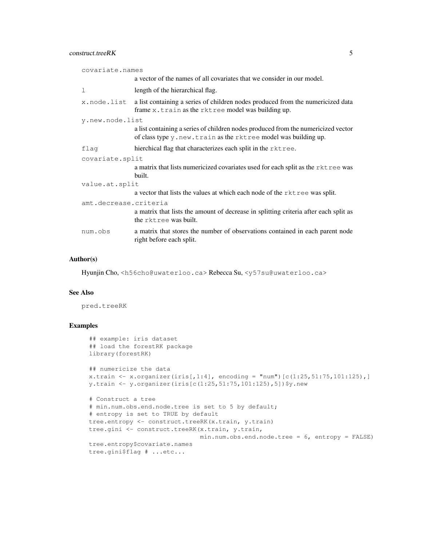# construct.treeRK 5

| covariate.names       |                                                                                                                                                     |  |
|-----------------------|-----------------------------------------------------------------------------------------------------------------------------------------------------|--|
|                       | a vector of the names of all covariates that we consider in our model.                                                                              |  |
| 1                     | length of the hierarchical flag.                                                                                                                    |  |
| x.node.list           | a list containing a series of children nodes produced from the numericized data<br>frame x.train as the rktree model was building up.               |  |
| y.new.node.list       |                                                                                                                                                     |  |
|                       | a list containing a series of children nodes produced from the numericized vector<br>of class type y.new.train as the rktree model was building up. |  |
| flag                  | hierchical flag that characterizes each split in the rktree.                                                                                        |  |
| covariate.split       |                                                                                                                                                     |  |
|                       | a matrix that lists numericized covariates used for each split as the rktree was<br>built.                                                          |  |
| value.at.split        |                                                                                                                                                     |  |
|                       | a vector that lists the values at which each node of the rktree was split.                                                                          |  |
| amt.decrease.criteria |                                                                                                                                                     |  |
|                       | a matrix that lists the amount of decrease in splitting criteria after each split as<br>the rktree was built.                                       |  |
| num.obs               | a matrix that stores the number of observations contained in each parent node<br>right before each split.                                           |  |

## Author(s)

Hyunjin Cho, <h56cho@uwaterloo.ca> Rebecca Su, <y57su@uwaterloo.ca>

# See Also

pred.treeRK

```
## example: iris dataset
## load the forestRK package
library(forestRK)
## numericize the data
x.train <- x.organizer(iris[,1:4], encoding = "num")[c(1:25, 51:75, 101:125),]
y.train <- y.organizer(iris[c(1:25,51:75,101:125),5])$y.new
# Construct a tree
# min.num.obs.end.node.tree is set to 5 by default;
# entropy is set to TRUE by default
tree.entropy <- construct.treeRK(x.train, y.train)
tree.gini <- construct.treeRK(x.train, y.train,
                              min.num.obs.end.node.tree = 6, entropy = FALSE)
tree.entropy$covariate.names
tree.gini$flag # ...etc...
```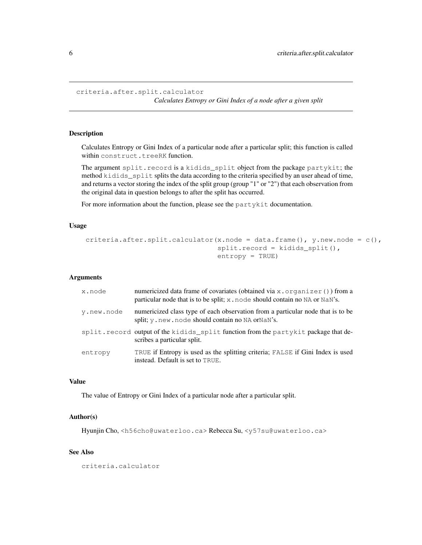```
criteria.after.split.calculator
```
*Calculates Entropy or Gini Index of a node after a given split*

# Description

Calculates Entropy or Gini Index of a particular node after a particular split; this function is called within construct.treeRK function.

The argument split.record is a kidids\_split object from the package partykit; the method kidids\_split splits the data according to the criteria specified by an user ahead of time, and returns a vector storing the index of the split group (group "1" or "2") that each observation from the original data in question belongs to after the split has occurred.

For more information about the function, please see the partykit documentation.

## Usage

```
criteria.after.split.calculator(x.node = data.frame(), y.new.node = c(),
                                split.record = kidids_split(),
                                entropy = TRUE)
```
#### Arguments

| x.node     | numericized data frame of covariates (obtained via x, organizer ()) from a<br>particular node that is to be split; x. node should contain no NA or NaN's. |
|------------|-----------------------------------------------------------------------------------------------------------------------------------------------------------|
| v.new.node | numericized class type of each observation from a particular node that is to be<br>split; y, new, node should contain no NA orNaN's.                      |
|            | split.record output of the kidids_split function from the partykit package that de-<br>scribes a particular split.                                        |
| entropy    | TRUE if Entropy is used as the splitting criteria; FALSE if Gini Index is used<br>instead. Default is set to TRUE.                                        |

# Value

The value of Entropy or Gini Index of a particular node after a particular split.

# Author(s)

Hyunjin Cho, <h56cho@uwaterloo.ca> Rebecca Su, <y57su@uwaterloo.ca>

#### See Also

criteria.calculator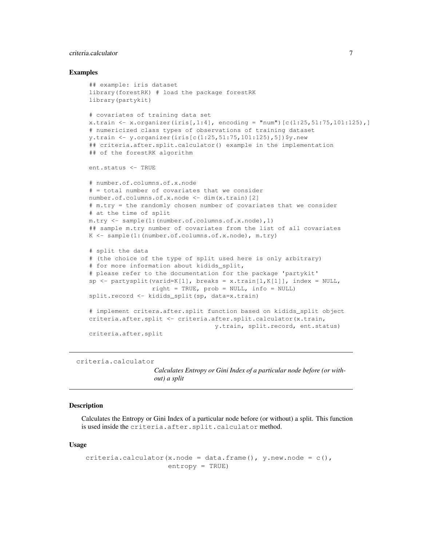# criteria.calculator 7

#### Examples

```
## example: iris dataset
library(forestRK) # load the package forestRK
library(partykit)
# covariates of training data set
x.train <- x.organizer(iris[,1:4], encoding = "num")[c(1:25, 51:75, 101:125),]
# numericized class types of observations of training dataset
y.train <- y.organizer(iris[c(1:25,51:75,101:125),5])$y.new
## criteria.after.split.calculator() example in the implementation
## of the forestRK algorithm
ent.status <- TRUE
# number.of.columns.of.x.node
# = total number of covariates that we consider
number.of.columns.of.x.node <- dim(x.train)[2]
# m.try = the randomly chosen number of covariates that we consider
# at the time of split
m.try <- sample(1:(number.of.columns.of.x.node),1)
## sample m.try number of covariates from the list of all covariates
K <- sample(1:(number.of.columns.of.x.node), m.try)
# split the data
# (the choice of the type of split used here is only arbitrary)
# for more information about kidids_split,
# please refer to the documentation for the package 'partykit'
sp \leftarrow partysplit(varid=K[1], breaks = x.train[1,K[1]], index = NULL,
                 right = TRUE, prob = NULL, info = NULL)split.record <- kidids_split(sp, data=x.train)
# implement critera.after.split function based on kidids_split object
criteria.after.split <- criteria.after.split.calculator(x.train,
                                  y.train, split.record, ent.status)
criteria.after.split
```
criteria.calculator

*Calculates Entropy or Gini Index of a particular node before (or without) a split*

#### Description

Calculates the Entropy or Gini Index of a particular node before (or without) a split. This function is used inside the criteria.after.split.calculator method.

#### Usage

```
criteria.calculator(x.node = data.frame(), y.new.node = c(),
                    entropy = TRUE)
```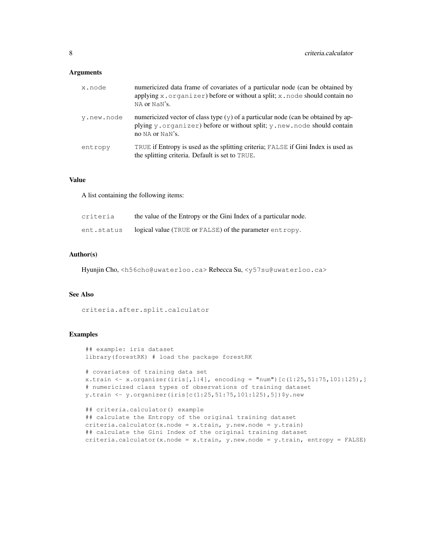#### **Arguments**

| x.node     | numericized data frame of covariates of a particular node (can be obtained by<br>applying x.organizer) before or without a split; x.node should contain no<br>NA or NaN's.       |
|------------|----------------------------------------------------------------------------------------------------------------------------------------------------------------------------------|
| v.new.node | numericized vector of class type $(y)$ of a particular node (can be obtained by ap-<br>plying y.organizer) before or without split; y.new.node should contain<br>no NA or NaN's. |
| entropy    | TRUE if Entropy is used as the splitting criteria; FALSE if Gini Index is used as<br>the splitting criteria. Default is set to TRUE.                                             |

#### Value

A list containing the following items:

| criteria   | the value of the Entropy or the Gini Index of a particular node. |
|------------|------------------------------------------------------------------|
| ent.status | logical value (TRUE or FALSE) of the parameter entropy.          |

# Author(s)

Hyunjin Cho, <h56cho@uwaterloo.ca> Rebecca Su, <y57su@uwaterloo.ca>

## See Also

criteria.after.split.calculator

```
## example: iris dataset
library(forestRK) # load the package forestRK
# covariates of training data set
x.train <- x.organizer(iris[,1:4], encoding = "num")[c(1:25,51:75,101:125),]
# numericized class types of observations of training dataset
y.train <- y.organizer(iris[c(1:25,51:75,101:125),5])$y.new
## criteria.calculator() example
## calculate the Entropy of the original training dataset
criteria.calculator(x.node = x.train, y.new.node = y.train)
## calculate the Gini Index of the original training dataset
criteria.calculator(x.node = x.train, y.new.node = y.train, entropy = FALSE)
```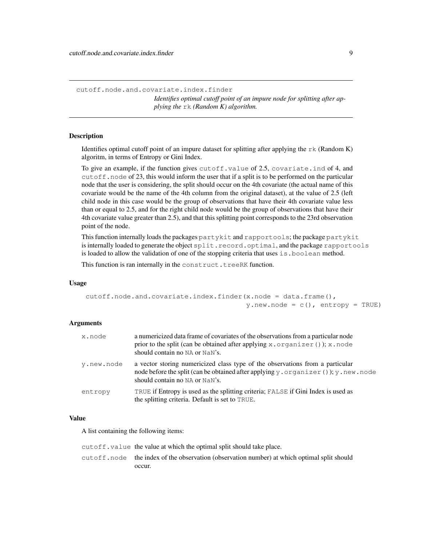cutoff.node.and.covariate.index.finder *Identifies optimal cutoff point of an impure node for splitting after applying the* rk *(Random K) algorithm.*

## Description

Identifies optimal cutoff point of an impure dataset for splitting after applying the  $rk$  (Random K) algoritm, in terms of Entropy or Gini Index.

To give an example, if the function gives cutoff.value of 2.5, covariate.ind of 4, and cutoff.node of 23, this would inform the user that if a split is to be performed on the particular node that the user is considering, the split should occur on the 4th covariate (the actual name of this covariate would be the name of the 4th column from the original dataset), at the value of 2.5 (left child node in this case would be the group of observations that have their 4th covariate value less than or equal to 2.5, and for the right child node would be the group of observations that have their 4th covariate value greater than 2.5), and that this splitting point corresponds to the 23rd observation point of the node.

This function internally loads the packages partykit and rapportools; the package partykit is internally loaded to generate the object split.record.optimal, and the package rapportools is loaded to allow the validation of one of the stopping criteria that uses is.boolean method.

This function is ran internally in the construct.treeRK function.

## Usage

```
cutoff.node.and.covariate.index.finder(x.node = data.frame(),
                                        y.next.node = c(), entropy = TRUE)
```
#### Arguments

| x.node     | a numericized data frame of covariates of the observations from a particular node<br>prior to the split (can be obtained after applying $x \cdot \text{organizer}(x)$ ); $x \cdot \text{node}$<br>should contain no NA or NaN's. |
|------------|----------------------------------------------------------------------------------------------------------------------------------------------------------------------------------------------------------------------------------|
| v.new.node | a vector storing numericized class type of the observations from a particular<br>node before the split (can be obtained after applying y . organizer ()); y . new . node<br>should contain no NA or NaN's.                       |
| entropy    | TRUE if Entropy is used as the splitting criteria; FALSE if Gini Index is used as<br>the splitting criteria. Default is set to TRUE.                                                                                             |

### Value

A list containing the following items:

cutoff.value the value at which the optimal split should take place. cutoff.node the index of the observation (observation number) at which optimal split should occur.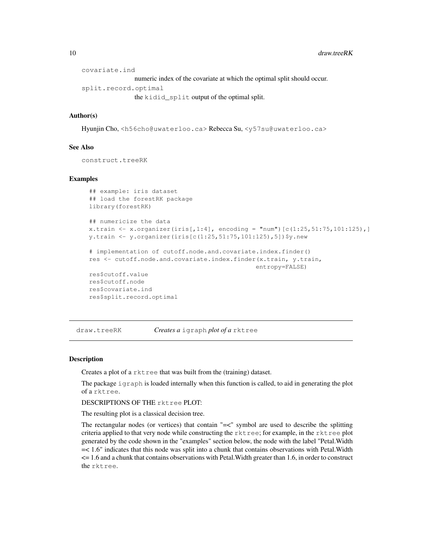```
covariate.ind
                 numeric index of the covariate at which the optimal split should occur.
split.record.optimal
                 the kidid_split output of the optimal split.
```
# Author(s)

Hyunjin Cho, <h56cho@uwaterloo.ca> Rebecca Su, <y57su@uwaterloo.ca>

# See Also

construct.treeRK

#### Examples

```
## example: iris dataset
## load the forestRK package
library(forestRK)
## numericize the data
x.train <- x.organizer(iris[,1:4], encoding = "num")[c(1:25,51:75,101:125),]
y.train <- y.organizer(iris[c(1:25,51:75,101:125),5])$y.new
# implementation of cutoff.node.and.covariate.index.finder()
res <- cutoff.node.and.covariate.index.finder(x.train, y.train,
                                             entropy=FALSE)
res$cutoff.value
res$cutoff.node
res$covariate.ind
res$split.record.optimal
```
draw.treeRK *Creates a* igraph *plot of a* rktree

#### Description

Creates a plot of a rktree that was built from the (training) dataset.

The package igraph is loaded internally when this function is called, to aid in generating the plot of a rktree.

DESCRIPTIONS OF THE rktree PLOT:

The resulting plot is a classical decision tree.

The rectangular nodes (or vertices) that contain "=<" symbol are used to describe the splitting criteria applied to that very node while constructing the rktree; for example, in the rktree plot generated by the code shown in the "examples" section below, the node with the label "Petal.Width =< 1.6" indicates that this node was split into a chunk that contains observations with Petal.Width <= 1.6 and a chunk that contains observations with Petal.Width greater than 1.6, in order to construct the rktree.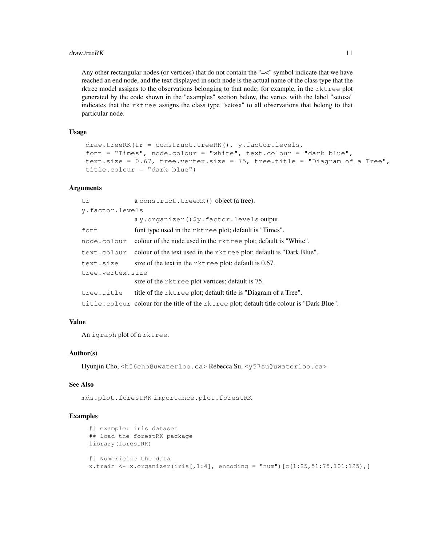#### draw.treeRK 11

Any other rectangular nodes (or vertices) that do not contain the "=<" symbol indicate that we have reached an end node, and the text displayed in such node is the actual name of the class type that the rktree model assigns to the observations belonging to that node; for example, in the rktree plot generated by the code shown in the "examples" section below, the vertex with the label "setosa" indicates that the rktree assigns the class type "setosa" to all observations that belong to that particular node.

# Usage

```
draw.treeRK(tr = construct.treeRK(), y.factor.levels,
font = "Times", node.colour = "white", text.colour = "dark blue",
text.size = 0.67, tree.vertex.size = 75, tree.title = "Diagram of a Tree",
title.colour = "dark blue")
```
# **Arguments**

| t.r              | a construct.treeRK() object (a tree).                                                      |  |
|------------------|--------------------------------------------------------------------------------------------|--|
| y.factor.levels  |                                                                                            |  |
|                  | $ay.$ organizer() $\gamma$ . factor. levels output.                                        |  |
| font             | font type used in the rktree plot; default is "Times".                                     |  |
| node.colour      | colour of the node used in the rktree plot; default is "White".                            |  |
| text.colour      | colour of the text used in the rktree plot; default is "Dark Blue".                        |  |
| text.size        | size of the text in the $r$ ktree plot; default is 0.67.                                   |  |
| tree.vertex.size |                                                                                            |  |
|                  | size of the rktree plot vertices; default is 75.                                           |  |
| tree.title       | title of the rktree plot; default title is "Diagram of a Tree".                            |  |
|                  | title.colour colour for the title of the rktree plot; default title colour is "Dark Blue". |  |

# Value

An igraph plot of a rktree.

## Author(s)

Hyunjin Cho, <h56cho@uwaterloo.ca> Rebecca Su, <y57su@uwaterloo.ca>

### See Also

mds.plot.forestRK importance.plot.forestRK

```
## example: iris dataset
## load the forestRK package
library(forestRK)
## Numericize the data
x.train <- x.organizer(iris[,1:4], encoding = "num")[c(1:25, 51:75, 101:125),]
```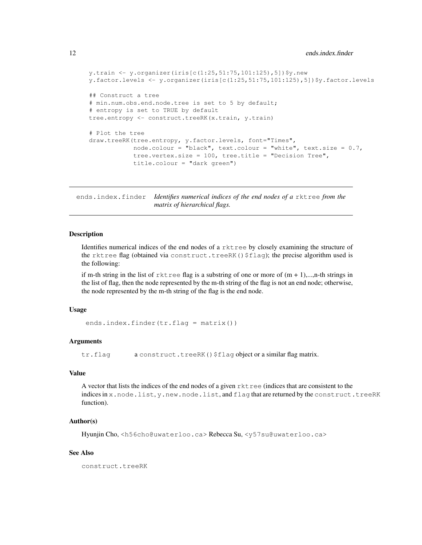```
y.train <- y.organizer(iris[c(1:25,51:75,101:125),5])$y.new
y.factor.levels <- y.organizer(iris[c(1:25,51:75,101:125),5])$y.factor.levels
## Construct a tree
# min.num.obs.end.node.tree is set to 5 by default;
# entropy is set to TRUE by default
tree.entropy <- construct.treeRK(x.train, y.train)
# Plot the tree
draw.treeRK(tree.entropy, y.factor.levels, font="Times",
            node.colour = "black", text.colour = "white", text.size = 0.7,
            tree.vertex.size = 100, tree.title = "Decision Tree",
            title.colour = "dark green")
```
ends.index.finder *Identifies numerical indices of the end nodes of a* rktree *from the matrix of hierarchical flags.*

#### Description

Identifies numerical indices of the end nodes of a rktree by closely examining the structure of the rktree flag (obtained via construct.treeRK()\$flag); the precise algorithm used is the following:

if m-th string in the list of  $rk$  ree flag is a substring of one or more of  $(m + 1)$ ,...,n-th strings in the list of flag, then the node represented by the m-th string of the flag is not an end node; otherwise, the node represented by the m-th string of the flag is the end node.

# Usage

```
ends.index.finder(tr.flag = matrix())
```
### Arguments

tr.flag a construct.treeRK() \$flag object or a similar flag matrix.

#### Value

A vector that lists the indices of the end nodes of a given rktree (indices that are consistent to the indices in x.node.list, y.new.node.list, and flag that are returned by the construct.treeRK function).

# Author(s)

Hyunjin Cho, <h56cho@uwaterloo.ca> Rebecca Su, <y57su@uwaterloo.ca>

### See Also

construct.treeRK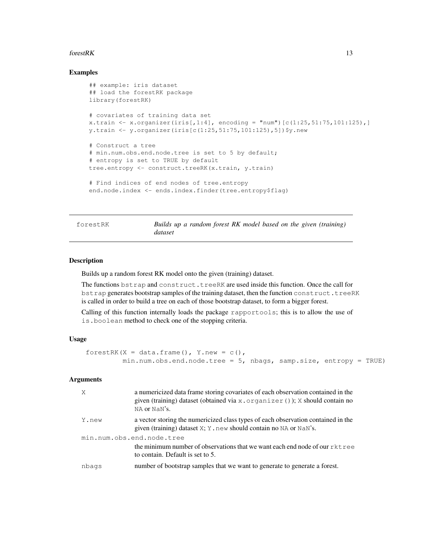#### forestRK  $\sim$  13

# Examples

```
## example: iris dataset
## load the forestRK package
library(forestRK)
# covariates of training data set
x.train <- x.organizer(iris[,1:4], encoding = "num")[c(1:25,51:75,101:125),]
y.train <- y.organizer(iris[c(1:25,51:75,101:125),5])$y.new
# Construct a tree
# min.num.obs.end.node.tree is set to 5 by default;
# entropy is set to TRUE by default
tree.entropy <- construct.treeRK(x.train, y.train)
# Find indices of end nodes of tree.entropy
end.node.index <- ends.index.finder(tree.entropy$flag)
```
forestRK *Builds up a random forest RK model based on the given (training) dataset*

# **Description**

Builds up a random forest RK model onto the given (training) dataset.

The functions bstrap and construct.treeRK are used inside this function. Once the call for bstrap generates bootstrap samples of the training dataset, then the function construct.treeRK is called in order to build a tree on each of those bootstrap dataset, to form a bigger forest.

Calling of this function internally loads the package rapportools; this is to allow the use of is.boolean method to check one of the stopping criteria.

#### Usage

```
forestRK(X = data.frame(), Y.new = c(),
        min.num.obs.end.node.tree = 5, nbags, samp.size, entropy = TRUE)
```
## **Arguments**

| X                         | a numericized data frame storing covariates of each observation contained in the<br>given (training) dataset (obtained via $x \cdot \text{organizer}(x)$ ); $x \cdot \text{should contain no}$<br>NA or NaN's. |  |
|---------------------------|----------------------------------------------------------------------------------------------------------------------------------------------------------------------------------------------------------------|--|
| Y.new                     | a vector storing the numericized class types of each observation contained in the<br>given (training) dataset X; Y, new should contain no NA or NaN's.                                                         |  |
| min.num.obs.end.node.tree |                                                                                                                                                                                                                |  |
|                           | the minimum number of observations that we want each end node of our rktree<br>to contain. Default is set to 5.                                                                                                |  |
| nbags                     | number of bootstrap samples that we want to generate to generate a forest.                                                                                                                                     |  |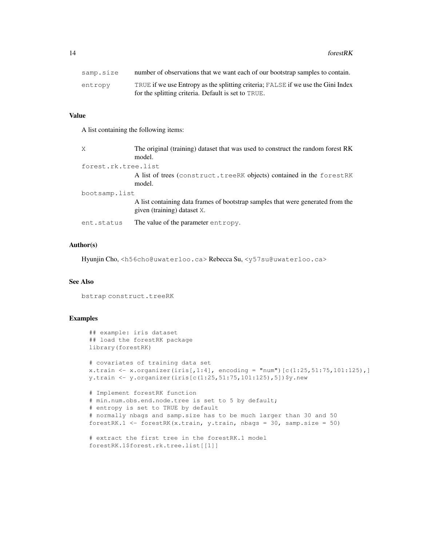14 forestRK

| samp.size | number of observations that we want each of our bootstrap samples to contain.    |
|-----------|----------------------------------------------------------------------------------|
| entropy   | TRUE if we use Entropy as the splitting criteria; FALSE if we use the Gini Index |
|           | for the splitting criteria. Default is set to TRUE.                              |

# Value

A list containing the following items:

| X                   | The original (training) dataset that was used to construct the random forest RK<br>model.                      |  |
|---------------------|----------------------------------------------------------------------------------------------------------------|--|
| forest.rk.tree.list |                                                                                                                |  |
|                     | A list of trees (construct.treeRK objects) contained in the forestRK<br>model.                                 |  |
| bootsamp.list       |                                                                                                                |  |
|                     | A list containing data frames of bootstrap samples that were generated from the<br>given (training) dataset X. |  |
| ent.status          | The value of the parameter entropy.                                                                            |  |

# Author(s)

Hyunjin Cho, <h56cho@uwaterloo.ca> Rebecca Su, <y57su@uwaterloo.ca>

# See Also

bstrap construct.treeRK

```
## example: iris dataset
## load the forestRK package
library(forestRK)
# covariates of training data set
x.train <- x.organizer(iris[,1:4], encoding = "num")[c(1:25,51:75,101:125),]
y.train <- y.organizer(iris[c(1:25,51:75,101:125),5])$y.new
# Implement forestRK function
# min.num.obs.end.node.tree is set to 5 by default;
# entropy is set to TRUE by default
# normally nbags and samp.size has to be much larger than 30 and 50
forestRK.1 <- forestRK(x.train, y.train, nbags = 30, samp.size = 50)
# extract the first tree in the forestRK.1 model
```

```
forestRK.1$forest.rk.tree.list[[1]]
```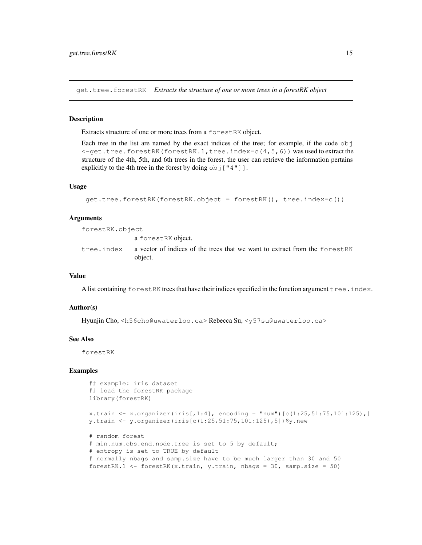get.tree.forestRK *Extracts the structure of one or more trees in a forestRK object*

## **Description**

Extracts structure of one or more trees from a forestRK object.

Each tree in the list are named by the exact indices of the tree; for example, if the code obj <-get.tree.forestRK(forestRK.1,tree.index=c(4,5,6)) was used to extract the structure of the 4th, 5th, and 6th trees in the forest, the user can retrieve the information pertains explicitly to the 4th tree in the forest by doing  $\circ b$  ["4"].

#### Usage

```
get.tree.forestRK(forestRK.object = forestRK(), tree.index=c())
```
### Arguments

forestRK.object

a forestRK object.

tree.index a vector of indices of the trees that we want to extract from the forestRK object.

#### Value

A list containing forestRK trees that have their indices specified in the function argument tree.index.

#### Author(s)

Hyunjin Cho, <h56cho@uwaterloo.ca> Rebecca Su, <y57su@uwaterloo.ca>

# See Also

forestRK

```
## example: iris dataset
## load the forestRK package
library(forestRK)
x.train <- x.organizer(iris[,1:4], encoding = "num")[c(1:25,51:75,101:125),]
y.train <- y.organizer(iris[c(1:25,51:75,101:125),5])$y.new
# random forest
# min.num.obs.end.node.tree is set to 5 by default;
# entropy is set to TRUE by default
# normally nbags and samp.size have to be much larger than 30 and 50
forestRK.1 <- forestRK(x.train, y.train, nbags = 30, samp.size = 50)
```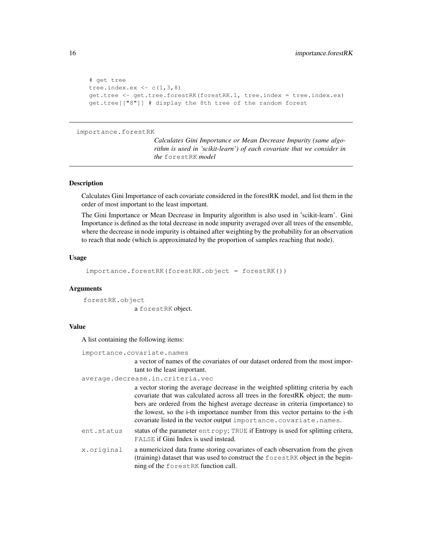```
# get tree
tree.index.ex \leftarrow c(1,3,8)
get.tree <- get.tree.forestRK(forestRK.1, tree.index = tree.index.ex)
get.tree[["8"]] # display the 8th tree of the random forest
```

```
importance.forestRK
```
*Calculates Gini Importance or Mean Decrease Impurity (same algorithm is used in 'scikit-learn') of each covariate that we consider in the* forestRK *model*

#### Description

Calculates Gini Importance of each covariate considered in the forestRK model, and list them in the order of most important to the least important.

The Gini Importance or Mean Decrease in Impurity algorithm is also used in 'scikit-learn'. Gini Importance is defined as the total decrease in node impurity averaged over all trees of the ensemble, where the decrease in node impurity is obtained after weighting by the probability for an observation to reach that node (which is approximated by the proportion of samples reaching that node).

#### Usage

importance.forestRK(forestRK.object = forestRK())

#### Arguments

forestRK.object a forestRK object.

#### Value

A list containing the following items:

importance.covariate.names

a vector of names of the covariates of our dataset ordered from the most important to the least important.

average.decrease.in.criteria.vec

a vector storing the average decrease in the weighted splitting criteria by each covariate that was calculated across all trees in the forestRK object; the numbers are ordered from the highest average decrease in criteria (importance) to the lowest, so the i-th importance number from this vector pertains to the i-th covariate listed in the vector output importance.covariate.names.

ent.status status of the parameter entropy; TRUE if Entropy is used for splitting critera, FALSE if Gini Index is used instead.

x.original a numericized data frame storing covariates of each observation from the given (training) dataset that was used to construct the forestRK object in the beginning of the forestRK function call.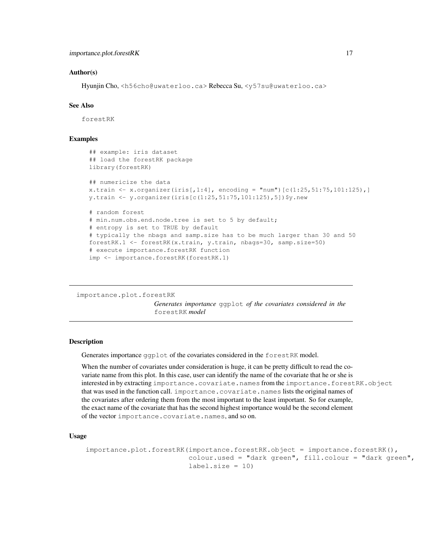## Author(s)

Hyunjin Cho, <h56cho@uwaterloo.ca> Rebecca Su, <y57su@uwaterloo.ca>

# See Also

forestRK

# Examples

```
## example: iris dataset
## load the forestRK package
library(forestRK)
## numericize the data
x.train <- x.organizer(iris[,1:4], encoding = "num")[c(1:25,51:75,101:125),]
y.train <- y.organizer(iris[c(1:25,51:75,101:125),5])$y.new
# random forest
# min.num.obs.end.node.tree is set to 5 by default;
# entropy is set to TRUE by default
# typically the nbags and samp.size has to be much larger than 30 and 50
forestRK.1 <- forestRK(x.train, y.train, nbags=30, samp.size=50)
# execute importance.forestRK function
imp <- importance.forestRK(forestRK.1)
```
importance.plot.forestRK

*Generates importance* ggplot *of the covariates considered in the* forestRK *model*

### Description

Generates importance ggplot of the covariates considered in the forestRK model.

When the number of covariates under consideration is huge, it can be pretty difficult to read the covariate name from this plot. In this case, user can identify the name of the covariate that he or she is interested in by extracting importance.covariate.names from the importance.forestRK.object that was used in the function call. importance.covariate.names lists the original names of the covariates after ordering them from the most important to the least important. So for example, the exact name of the covariate that has the second highest importance would be the second element of the vector importance.covariate.names, and so on.

# Usage

```
importance.plot.forestRK(importance.forestRK.object = importance.forestRK(),
                         colour.used = "dark green", fill.colour = "dark green",
                         label.size = 10
```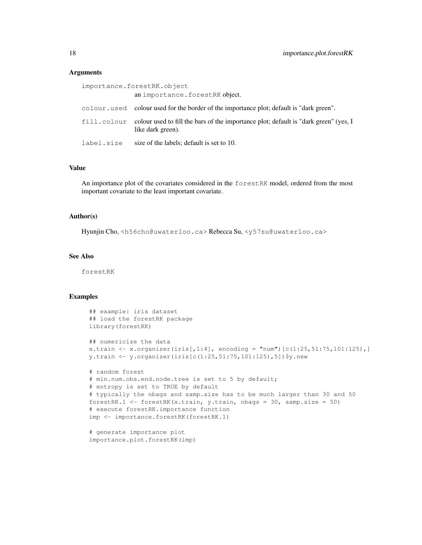## **Arguments**

| importance.forestRK.object |                                                                                                                       |  |
|----------------------------|-----------------------------------------------------------------------------------------------------------------------|--|
|                            | an importance. forestRK object.                                                                                       |  |
|                            | colour. used colour used for the border of the importance plot; default is "dark green".                              |  |
|                            | fill.colour colour used to fill the bars of the importance plot; default is "dark green" (yes, I<br>like dark green). |  |
| label.size                 | size of the labels; default is set to 10.                                                                             |  |

# Value

An importance plot of the covariates considered in the forestRK model, ordered from the most important covariate to the least important covariate.

# Author(s)

Hyunjin Cho, <h56cho@uwaterloo.ca> Rebecca Su, <y57su@uwaterloo.ca>

### See Also

forestRK

# Examples

```
## example: iris dataset
## load the forestRK package
library(forestRK)
## numericize the data
x.train <- x.organizer(iris[,1:4], encoding = "num")[c(1:25,51:75,101:125),]
y.train <- y.organizer(iris[c(1:25,51:75,101:125),5])$y.new
# random forest
# min.num.obs.end.node.tree is set to 5 by default;
# entropy is set to TRUE by default
# typically the nbags and samp.size has to be much larger than 30 and 50
forestRK.1 <- forestRK(x.train, y.train, nbags = 30, samp.size = 50)
# execute forestRK.importance function
imp <- importance.forestRK(forestRK.1)
# generate importance plot
```
importance.plot.forestRK(imp)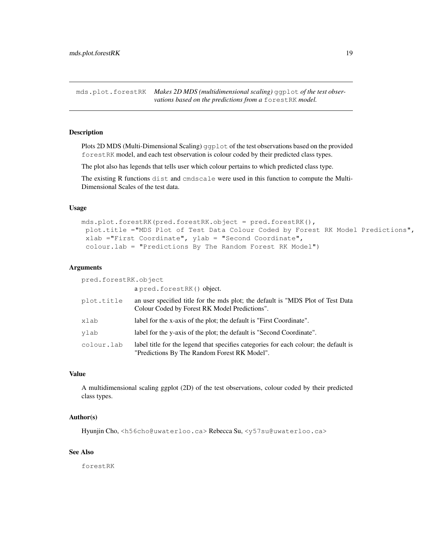mds.plot.forestRK *Makes 2D MDS (multidimensional scaling)* ggplot *of the test observations based on the predictions from a* forestRK *model.*

## Description

Plots 2D MDS (Multi-Dimensional Scaling) ggplot of the test observations based on the provided forestRK model, and each test observation is colour coded by their predicted class types.

The plot also has legends that tells user which colour pertains to which predicted class type.

The existing R functions dist and cmdscale were used in this function to compute the Multi-Dimensional Scales of the test data.

# Usage

```
mds.plot.forestRK(pred.forestRK.object = pred.forestRK(),
 plot.title ="MDS Plot of Test Data Colour Coded by Forest RK Model Predictions",
 xlab ="First Coordinate", ylab = "Second Coordinate",
 colour.lab = "Predictions By The Random Forest RK Model")
```
#### Arguments

pred.forestRK.object

a pred.forestRK() object.

| plot.title | an user specified title for the mds plot; the default is "MDS Plot of Test Data<br>Colour Coded by Forest RK Model Predictions".     |
|------------|--------------------------------------------------------------------------------------------------------------------------------------|
| xlab       | label for the x-axis of the plot; the default is "First Coordinate".                                                                 |
| ylab       | label for the y-axis of the plot; the default is "Second Coordinate".                                                                |
| colour.lab | label title for the legend that specifies categories for each colour; the default is<br>"Predictions By The Random Forest RK Model". |

#### Value

A multidimensional scaling ggplot (2D) of the test observations, colour coded by their predicted class types.

# Author(s)

Hyunjin Cho, <h56cho@uwaterloo.ca> Rebecca Su, <y57su@uwaterloo.ca>

# See Also

forestRK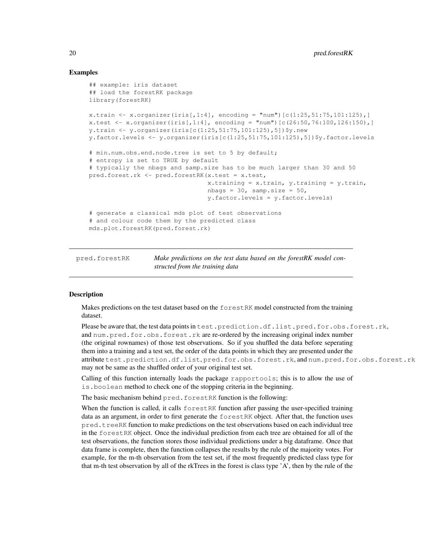# Examples

```
## example: iris dataset
## load the forestRK package
library(forestRK)
x.train <- x.organizer(iris[,1:4], encoding = "num")[c(1:25,51:75,101:125),]
x.test \le x.organizer(iris[,1:4], encoding = "num")[c(26:50,76:100,126:150),]
y.train <- y.organizer(iris[c(1:25,51:75,101:125),5])$y.new
y.factor.levels <- y.organizer(iris[c(1:25,51:75,101:125),5])$y.factor.levels
# min.num.obs.end.node.tree is set to 5 by default;
# entropy is set to TRUE by default
# typically the nbags and samp.size has to be much larger than 30 and 50
pred.forest.rk <- pred.forestRK(x.test = x.test,
                                x.training = x.train, y.training = y.train,nbags = 30, samp.size = 50,
                                y.factor.levels = y.factor.levels)
# generate a classical mds plot of test observations
# and colour code them by the predicted class
mds.plot.forestRK(pred.forest.rk)
```
pred.forestRK *Make predictions on the test data based on the forestRK model constructed from the training data*

# **Description**

Makes predictions on the test dataset based on the forestRK model constructed from the training dataset.

Please be aware that, the test data points in test.prediction.df.list , pred.for.obs.forest.rk, and num.pred.for.obs.forest.rk are re-ordered by the increasing original index number (the original rownames) of those test observations. So if you shuffled the data before seperating them into a training and a test set, the order of the data points in which they are presented under the attribute test.prediction.df.list, pred.for.obs.forest.rk, and num.pred.for.obs.forest.rk may not be same as the shuffled order of your original test set.

Calling of this function internally loads the package rapportools; this is to allow the use of is.boolean method to check one of the stopping criteria in the beginning.

The basic mechanism behind pred.forestRK function is the following:

When the function is called, it calls forestRK function after passing the user-specified training data as an argument, in order to first generate the forestRK object. After that, the function uses pred.treeRK function to make predictions on the test observations based on each individual tree in the forestRK object. Once the individual prediction from each tree are obtained for all of the test observations, the function stores those individual predictions under a big dataframe. Once that data frame is complete, then the function collapses the results by the rule of the majority votes. For example, for the m-th observation from the test set, if the most frequently predicted class type for that m-th test observation by all of the rkTrees in the forest is class type 'A', then by the rule of the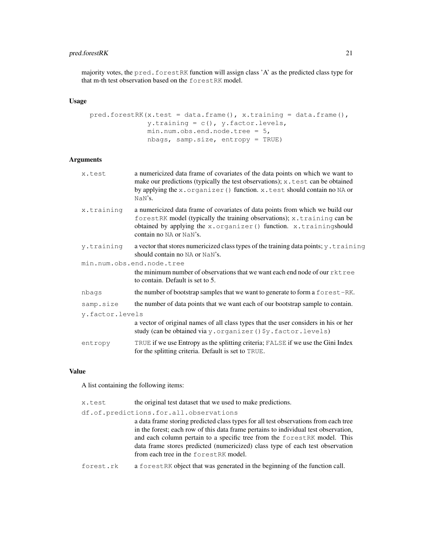# pred.forestRK 21

majority votes, the pred. forestRK function will assign class 'A' as the predicted class type for that m-th test observation based on the forestRK model.

# Usage

```
pred.forestRK(x.test = data.frame(), x.training = data.frame(),
              y.training = c(), y.factor.levels,
              min.num.obs.end.node.tree = 5,
              nbags, samp.size, entropy = TRUE)
```
# Arguments

| x.test          | a numericized data frame of covariates of the data points on which we want to<br>make our predictions (typically the test observations); x.test can be obtained<br>by applying the x.organizer () function. x.test should contain no NA or<br>NaN's.      |
|-----------------|-----------------------------------------------------------------------------------------------------------------------------------------------------------------------------------------------------------------------------------------------------------|
| x.training      | a numericized data frame of covariates of data points from which we build our<br>forestRK model (typically the training observations); x.training can be<br>obtained by applying the x.organizer () function. x.trainingshould<br>contain no NA or NaN's. |
| y.training      | a vector that stores numericized class types of the training data points; y.training<br>should contain no NA or NaN's.                                                                                                                                    |
|                 | min.num.obs.end.node.tree<br>the minimum number of observations that we want each end node of our rktree<br>to contain. Default is set to 5.                                                                                                              |
| nbags           | the number of bootstrap samples that we want to generate to form a forest-RK.                                                                                                                                                                             |
| samp.size       | the number of data points that we want each of our bootstrap sample to contain.                                                                                                                                                                           |
| y.factor.levels |                                                                                                                                                                                                                                                           |
|                 | a vector of original names of all class types that the user considers in his or her<br>study (can be obtained via y. organizer () \$y. factor. levels)                                                                                                    |
| entropy         | TRUE if we use Entropy as the splitting criteria; FALSE if we use the Gini Index<br>for the splitting criteria. Default is set to TRUE.                                                                                                                   |

# Value

A list containing the following items:

| x.test    | the original test dataset that we used to make predictions.                         |
|-----------|-------------------------------------------------------------------------------------|
|           | df.of.predictions.for.all.observations                                              |
|           | a data frame storing predicted class types for all test observations from each tree |
|           | in the forest; each row of this data frame pertains to individual test observation, |
|           | and each column pertain to a specific tree from the forest RK model. This           |
|           | data frame stores predicted (numericized) class type of each test observation       |
|           | from each tree in the forestrak model.                                              |
| forest.rk | a forest RK object that was generated in the beginning of the function call.        |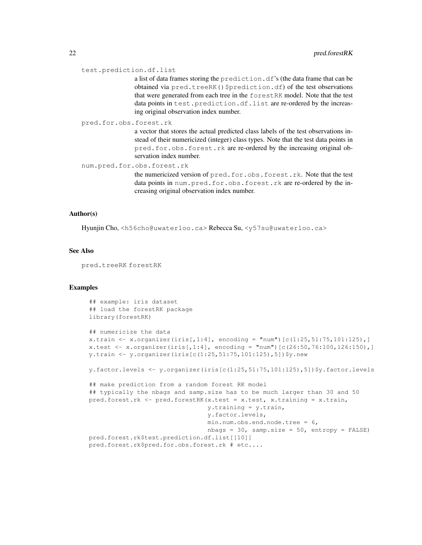#### test.prediction.df.list

a list of data frames storing the prediction.df's (the data frame that can be obtained via pred.treeRK() \$prediction.df) of the test observations that were generated from each tree in the forestRK model. Note that the test data points in test.prediction.df.list are re-ordered by the increasing original observation index number.

# pred.for.obs.forest.rk

a vector that stores the actual predicted class labels of the test observations instead of their numericized (integer) class types. Note that the test data points in pred.for.obs.forest.rk are re-ordered by the increasing original observation index number.

num.pred.for.obs.forest.rk

the numericized version of pred.for.obs.forest.rk. Note that the test data points in num.pred.for.obs.forest.rk are re-ordered by the increasing original observation index number.

#### Author(s)

Hyunjin Cho, <h56cho@uwaterloo.ca> Rebecca Su, <y57su@uwaterloo.ca>

#### See Also

pred.treeRK forestRK

```
## example: iris dataset
## load the forestRK package
library(forestRK)
## numericize the data
x.train <- x.organizer(iris[,1:4], encoding = "num")[c(1:25,51:75,101:125),]
x.test \le x.organizer(iris[,1:4], encoding = "num")[c(26:50,76:100,126:150),]
y.train <- y.organizer(iris[c(1:25,51:75,101:125),5])$y.new
y.factor.levels <- y.organizer(iris[c(1:25,51:75,101:125),5])$y.factor.levels
## make prediction from a random forest RK model
## typically the nbags and samp.size has to be much larger than 30 and 50
pred.forest.rk <- pred.forestRK(x.test = x.test, x.training = x.train,
                                y.training = y.train,
                                y.factor.levels,
                                min.num.obs.end.node.tree = 6,
                                nbags = 30, samp.size = 50, entropy = FALSE)
pred.forest.rk$test.prediction.df.list[[10]]
pred.forest.rk$pred.for.obs.forest.rk # etc....
```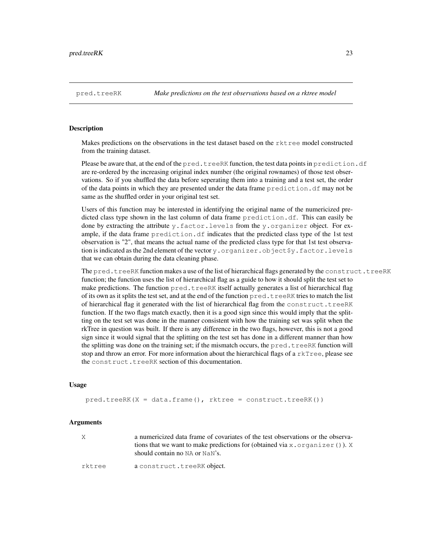## Description

Makes predictions on the observations in the test dataset based on the rktree model constructed from the training dataset.

Please be aware that, at the end of the pred.treeRK function, the test data points in prediction.df are re-ordered by the increasing original index number (the original rownames) of those test observations. So if you shuffled the data before seperating them into a training and a test set, the order of the data points in which they are presented under the data frame prediction.df may not be same as the shuffled order in your original test set.

Users of this function may be interested in identifying the original name of the numericized predicted class type shown in the last column of data frame prediction.df. This can easily be done by extracting the attribute y.factor.levels from the y.organizer object. For example, if the data frame prediction.df indicates that the predicted class type of the 1st test observation is "2", that means the actual name of the predicted class type for that 1st test observation is indicated as the 2nd element of the vector y.organizer.object \$y.factor.levels that we can obtain during the data cleaning phase.

The pred.treeRK function makes a use of the list of hierarchical flags generated by the construct.treeRK function; the function uses the list of hierarchical flag as a guide to how it should split the test set to make predictions. The function pred.treeRK itself actually generates a list of hierarchical flag of its own as it splits the test set, and at the end of the function  $pred$ .  $treeRK$  tries to match the list of hierarchical flag it generated with the list of hierarchical flag from the construct.treeRK function. If the two flags match exactly, then it is a good sign since this would imply that the splitting on the test set was done in the manner consistent with how the training set was split when the rkTree in question was built. If there is any difference in the two flags, however, this is not a good sign since it would signal that the splitting on the test set has done in a different manner than how the splitting was done on the training set; if the mismatch occurs, the pred.treeRK function will stop and throw an error. For more information about the hierarchical flags of a  $\text{rkTree}$ , please see the construct.treeRK section of this documentation.

#### Usage

 $pred.treeRK(X = data.frame(), rktree = construct.treeRK())$ 

#### Arguments

| X      | a numericized data frame of covariates of the test observations or the observa-<br>tions that we want to make predictions for (obtained via $x \cdot \text{organizer}()$ ). X<br>should contain no NA or NaN's. |
|--------|-----------------------------------------------------------------------------------------------------------------------------------------------------------------------------------------------------------------|
| rktree | a construct.treeRK object.                                                                                                                                                                                      |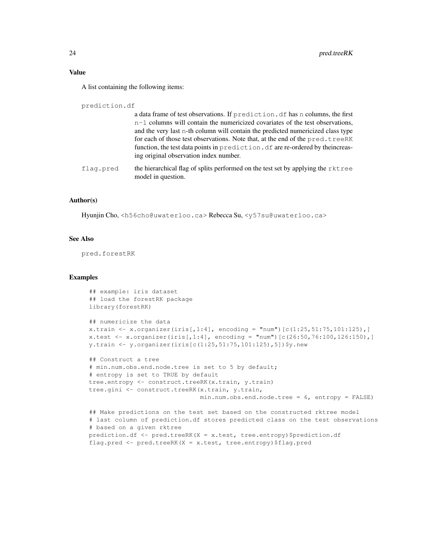A list containing the following items:

prediction.df

|           | a data frame of test observations. If prediction, df has n columns, the first<br>$n-1$ columns will contain the numericized covariates of the test observations,<br>and the very last n-th column will contain the predicted numericized class type<br>for each of those test observations. Note that, at the end of the pred.treeRK<br>function, the test data points in prediction. df are re-ordered by the increas-<br>ing original observation index number. |
|-----------|-------------------------------------------------------------------------------------------------------------------------------------------------------------------------------------------------------------------------------------------------------------------------------------------------------------------------------------------------------------------------------------------------------------------------------------------------------------------|
| flaq.pred | the hierarchical flag of splits performed on the test set by applying the rktree<br>model in question.                                                                                                                                                                                                                                                                                                                                                            |
|           |                                                                                                                                                                                                                                                                                                                                                                                                                                                                   |

# Author(s)

Hyunjin Cho, <h56cho@uwaterloo.ca> Rebecca Su, <y57su@uwaterloo.ca>

# See Also

pred.forestRK

```
## example: iris dataset
## load the forestRK package
library(forestRK)
## numericize the data
x.train <- x.organizer(iris[,1:4], encoding = "num")[c(1:25, 51:75, 101:125),]
x.test <- x.organizer(iris[,1:4], encoding = "num")[c(26:50,76:100,126:150),]
y.train <- y.organizer(iris[c(1:25,51:75,101:125),5])$y.new
## Construct a tree
# min.num.obs.end.node.tree is set to 5 by default;
# entropy is set to TRUE by default
tree.entropy <- construct.treeRK(x.train, y.train)
tree.gini <- construct.treeRK(x.train, y.train,
                             min.num.obs.end.node.tree = 6, entropy = FALSE)
## Make predictions on the test set based on the constructed rktree model
# last column of prediction.df stores predicted class on the test observations
# based on a given rktree
prediction.df <- pred.treeRK(X = x.test, tree.entropy)$prediction.df
flag.pred <- pred.treeRK(X = x.test, tree.entropy)$flag.pred
```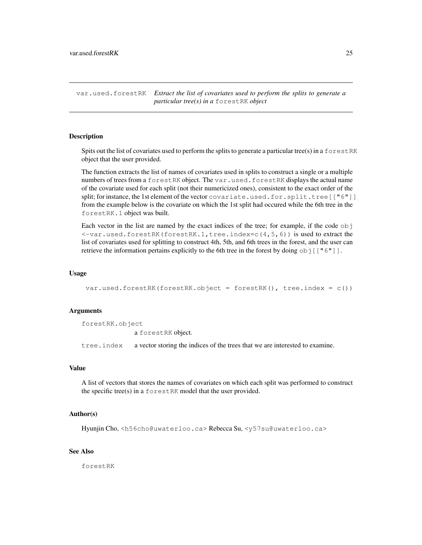var.used.forestRK *Extract the list of covariates used to perform the splits to generate a particular tree(s) in a* forestRK *object*

# Description

Spits out the list of covariates used to perform the splits to generate a particular tree(s) in a  $f$ o $r$ estRK object that the user provided.

The function extracts the list of names of covariates used in splits to construct a single or a multiple numbers of trees from a forestRK object. The var.used.forestRK displays the actual name of the covariate used for each split (not their numericized ones), consistent to the exact order of the split; for instance, the 1st element of the vector covariate.used.for.split.tree [["6"]] from the example below is the covariate on which the 1st split had occured while the 6th tree in the forestRK.1 object was built.

Each vector in the list are named by the exact indices of the tree; for example, if the code obj <-var.used.forestRK(forestRK.1,tree.index=c(4,5,6)) is used to extract the list of covariates used for splitting to construct 4th, 5th, and 6th trees in the forest, and the user can retrieve the information pertains explicitly to the 6th tree in the forest by doing  $\circ \circ j$  [["6"]].

#### Usage

var.used.forestRK(forestRK.object = forestRK(), tree.index =  $c()$ )

#### Arguments

forestRK.object a forestRK object. tree.index a vector storing the indices of the trees that we are interested to examine.

# Value

A list of vectors that stores the names of covariates on which each split was performed to construct the specific tree(s) in a forestRK model that the user provided.

#### Author(s)

Hyunjin Cho, <h56cho@uwaterloo.ca> Rebecca Su, <y57su@uwaterloo.ca>

# See Also

forestRK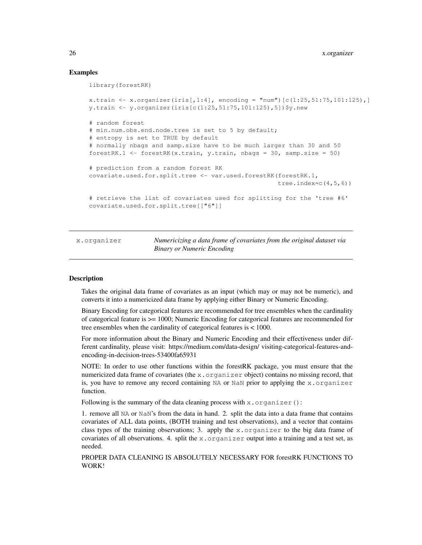# Examples

```
library(forestRK)
x.train <- x.organizer(iris[,1:4], encoding = "num")[c(1:25,51:75,101:125),]
y.train <- y.organizer(iris[c(1:25,51:75,101:125),5])$y.new
# random forest
# min.num.obs.end.node.tree is set to 5 by default;
# entropy is set to TRUE by default
# normally nbags and samp.size have to be much larger than 30 and 50
forestRK.1 \le forestRK(x.train, y.train, nbags = 30, samp.size = 50)
# prediction from a random forest RK
covariate.used.for.split.tree <- var.used.forestRK(forestRK.1,
                                                   tree.index=c(4,5,6))
# retrieve the list of covariates used for splitting for the 'tree #6'
covariate.used.for.split.tree[["6"]]
```
x.organizer *Numericizing a data frame of covariates from the original dataset via Binary or Numeric Encoding*

## Description

Takes the original data frame of covariates as an input (which may or may not be numeric), and converts it into a numericized data frame by applying either Binary or Numeric Encoding.

Binary Encoding for categorical features are recommended for tree ensembles when the cardinality of categorical feature is >= 1000; Numeric Encoding for categorical features are recommended for tree ensembles when the cardinality of categorical features is < 1000.

For more information about the Binary and Numeric Encoding and their effectiveness under different cardinality, please visit: https://medium.com/data-design/ visiting-categorical-features-andencoding-in-decision-trees-53400fa65931

NOTE: In order to use other functions within the forestRK package, you must ensure that the numericized data frame of covariates (the  $x$ . organizer object) contains no missing record, that is, you have to remove any record containing  $NA$  or  $NAN$  prior to applying the x.organizer function.

Following is the summary of the data cleaning process with  $x \cdot \text{organizer}()$ :

1. remove all NA or NaN's from the data in hand. 2. split the data into a data frame that contains covariates of ALL data points, (BOTH training and test observations), and a vector that contains class types of the training observations; 3. apply the x.organizer to the big data frame of covariates of all observations. 4. split the  $x$ , organizer output into a training and a test set, as needed.

PROPER DATA CLEANING IS ABSOLUTELY NECESSARY FOR forestRK FUNCTIONS TO WORK!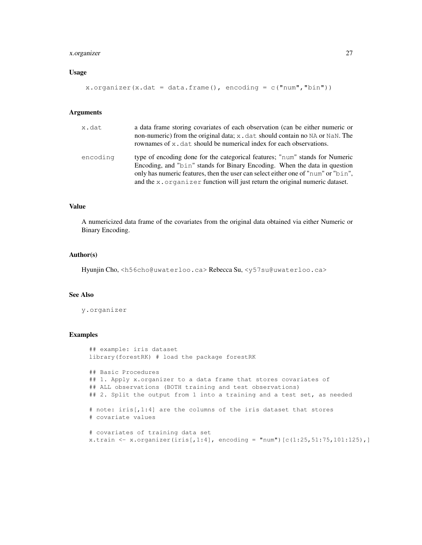# x.organizer 27

# Usage

```
x.organizer(x.dat = data.frame(), encoding = c("num", "bin"))
```
#### Arguments

| x.dat    | a data frame storing covariates of each observation (can be either numeric or<br>non-numeric) from the original data; x . dat should contain no NA or NaN. The<br>rownames of x, dat should be numerical index for each observations.                                                                                          |
|----------|--------------------------------------------------------------------------------------------------------------------------------------------------------------------------------------------------------------------------------------------------------------------------------------------------------------------------------|
| encoding | type of encoding done for the categorical features; "num" stands for Numeric<br>Encoding, and "bin" stands for Binary Encoding. When the data in question<br>only has numeric features, then the user can select either one of "num" or "bin",<br>and the x. organizer function will just return the original numeric dataset. |

# Value

A numericized data frame of the covariates from the original data obtained via either Numeric or Binary Encoding.

# Author(s)

Hyunjin Cho, <h56cho@uwaterloo.ca> Rebecca Su, <y57su@uwaterloo.ca>

## See Also

y.organizer

```
## example: iris dataset
library(forestRK) # load the package forestRK
## Basic Procedures
## 1. Apply x.organizer to a data frame that stores covariates of
## ALL observations (BOTH training and test observations)
## 2. Split the output from 1 into a training and a test set, as needed
# note: iris[,1:4] are the columns of the iris dataset that stores
# covariate values
# covariates of training data set
x.train <- x.organizer(iris[,1:4], encoding = "num")[c(1:25, 51:75, 101:125),]
```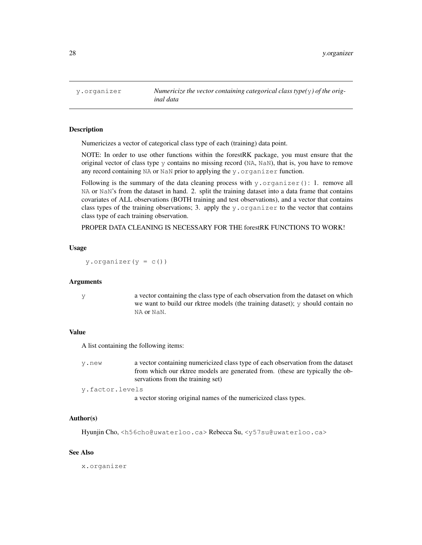### **Description**

Numericizes a vector of categorical class type of each (training) data point.

NOTE: In order to use other functions within the forestRK package, you must ensure that the original vector of class type y contains no missing record (NA, NaN), that is, you have to remove any record containing NA or NaN prior to applying the  $y$ . organizer function.

Following is the summary of the data cleaning process with  $y$ . organizer(): 1. remove all NA or NaN's from the dataset in hand. 2. split the training dataset into a data frame that contains covariates of ALL observations (BOTH training and test observations), and a vector that contains class types of the training observations; 3. apply the  $y$ . organizer to the vector that contains class type of each training observation.

PROPER DATA CLEANING IS NECESSARY FOR THE forestRK FUNCTIONS TO WORK!

# Usage

y.organizer( $y = c()$ )

#### Arguments

y a vector containing the class type of each observation from the dataset on which we want to build our rktree models (the training dataset); y should contain no NA or NaN.

#### Value

A list containing the following items:

y.new a vector containing numericized class type of each observation from the dataset from which our rktree models are generated from. (these are typically the observations from the training set)

y.factor.levels

a vector storing original names of the numericized class types.

# Author(s)

Hyunjin Cho, <h56cho@uwaterloo.ca> Rebecca Su, <y57su@uwaterloo.ca>

### See Also

x.organizer